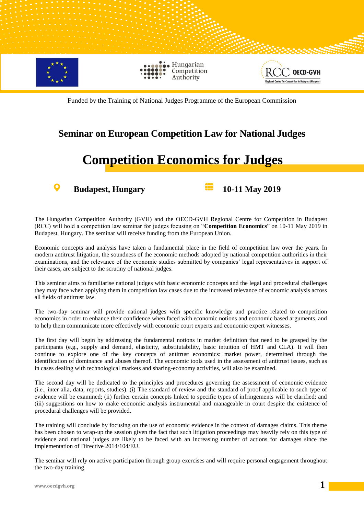

Funded by the Training of National Judges Programme of the European Commission

## **Seminar on European Competition Law for National Judges**

## **Competition Economics for Judges**

O

**Budapest, Hungary 10-11 May 2019** 

The Hungarian Competition Authority (GVH) and the OECD-GVH Regional Centre for Competition in Budapest (RCC) will hold a competition law seminar for judges focusing on "**Competition Economics**" on 10-11 May 2019 in Budapest, Hungary. The seminar will receive funding from the European Union.

Economic concepts and analysis have taken a fundamental place in the field of competition law over the years. In modern antitrust litigation, the soundness of the economic methods adopted by national competition authorities in their examinations, and the relevance of the economic studies submitted by companies' legal representatives in support of their cases, are subject to the scrutiny of national judges.

This seminar aims to familiarise national judges with basic economic concepts and the legal and procedural challenges they may face when applying them in competition law cases due to the increased relevance of economic analysis across all fields of antitrust law.

The two-day seminar will provide national judges with specific knowledge and practice related to competition economics in order to enhance their confidence when faced with economic notions and economic based arguments, and to help them communicate more effectively with economic court experts and economic expert witnesses.

The first day will begin by addressing the fundamental notions in market definition that need to be grasped by the participants (e.g., supply and demand, elasticity, substitutability, basic intuition of HMT and CLA). It will then continue to explore one of the key concepts of antitrust economics: market power, determined through the identification of dominance and abuses thereof. The economic tools used in the assessment of antitrust issues, such as in cases dealing with technological markets and sharing-economy activities, will also be examined.

The second day will be dedicated to the principles and procedures governing the assessment of economic evidence (i.e., inter alia, data, reports, studies). (i) The standard of review and the standard of proof applicable to such type of evidence will be examined; (ii) further certain concepts linked to specific types of infringements will be clarified; and (iii) suggestions on how to make economic analysis instrumental and manageable in court despite the existence of procedural challenges will be provided.

The training will conclude by focusing on the use of economic evidence in the context of damages claims. This theme has been chosen to wrap-up the session given the fact that such litigation proceedings may heavily rely on this type of evidence and national judges are likely to be faced with an increasing number of actions for damages since the implementation of Directive 2014/104/EU.

The seminar will rely on active participation through group exercises and will require personal engagement throughout the two-day training.